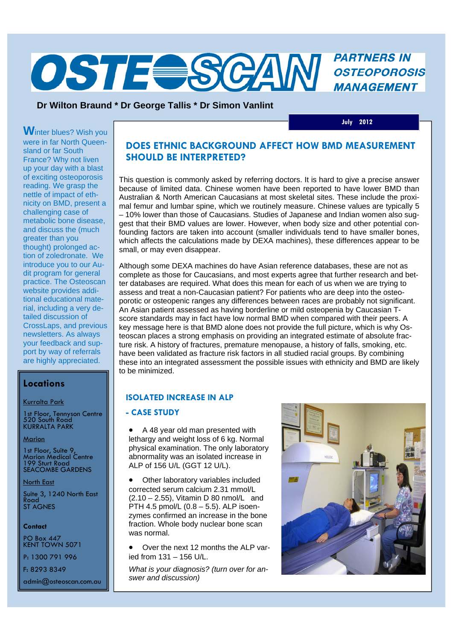# **PARTNERS IN OSTE SCAM OSTEOPOROSIS MANAGEMENT**

#### **Dr Wilton Braund \* Dr George Tallis \* Dr Simon Vanlint**

 **July 2012** 

**W**inter blues? Wish you were in far North Queensland or far South France? Why not liven up your day with a blast of exciting osteoporosis reading. We grasp the nettle of impact of ethnicity on BMD, present a challenging case of metabolic bone disease, and discuss the (much greater than you thought) prolonged action of zoledronate. We introduce you to our Audit program for general practice. The Osteoscan website provides additional educational material, including a very detailed discussion of CrossLaps, and previous newsletters. As always your feedback and support by way of referrals are highly appreciated.

### **Locations**

Kurralta Park

1st Floor, Tennyson Centre 520 South Road KURRALTA PARK

Marion

1st Floor, Suite 9, Marion Medical Centre 199 Sturt Road SEACOMBE GARDENS

#### North East

Suite 3, 1240 North East Road ST AGNES

#### **Contact**

PO Box 447 KENT TOWN 5071

P: 1300 791 996

F: 8293 8349

admin@osteoscan.com.au

## **DOES ETHNIC BACKGROUND AFFECT HOW BMD MEASUREMENT SHOULD BE INTERPRETED?**

This question is commonly asked by referring doctors. It is hard to give a precise answer because of limited data. Chinese women have been reported to have lower BMD than Australian & North American Caucasians at most skeletal sites. These include the proximal femur and lumbar spine, which we routinely measure. Chinese values are typically 5 – 10% lower than those of Caucasians. Studies of Japanese and Indian women also suggest that their BMD values are lower. However, when body size and other potential confounding factors are taken into account (smaller individuals tend to have smaller bones, which affects the calculations made by DEXA machines), these differences appear to be small, or may even disappear.

Although some DEXA machines do have Asian reference databases, these are not as complete as those for Caucasians, and most experts agree that further research and better databases are required. What does this mean for each of us when we are trying to assess and treat a non-Caucasian patient? For patients who are deep into the osteoporotic or osteopenic ranges any differences between races are probably not significant. An Asian patient assessed as having borderline or mild osteopenia by Caucasian Tscore standards may in fact have low normal BMD when compared with their peers. A key message here is that BMD alone does not provide the full picture, which is why Osteoscan places a strong emphasis on providing an integrated estimate of absolute fracture risk. A history of fractures, premature menopause, a history of falls, smoking, etc. have been validated as fracture risk factors in all studied racial groups. By combining these into an integrated assessment the possible issues with ethnicity and BMD are likely to be minimized.

#### **ISOLATED INCREASE IN ALP**

#### **- CASE STUDY**

 A 48 year old man presented with lethargy and weight loss of 6 kg. Normal physical examination. The only laboratory abnormality was an isolated increase in ALP of 156 U/L (GGT 12 U/L).

 Other laboratory variables included corrected serum calcium 2.31 mmol/L (2.10 – 2.55), Vitamin D 80 nmol/L and PTH 4.5 pmol/L (0.8 – 5.5). ALP isoenzymes confirmed an increase in the bone fraction. Whole body nuclear bone scan was normal.

• Over the next 12 months the ALP varied from 131 – 156 U/L.

*What is your diagnosis? (turn over for answer and discussion)*